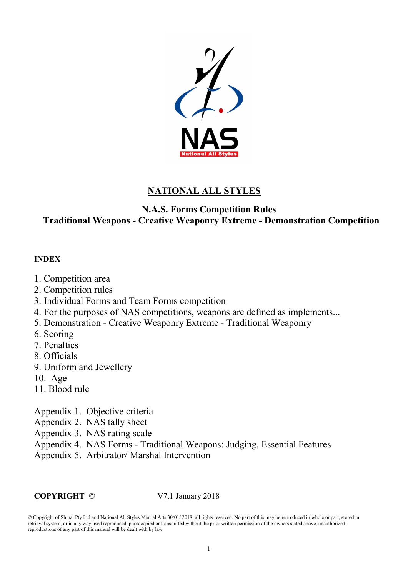

### NATIONAL ALL STYLES

### N.A.S. Forms Competition Rules Traditional Weapons - Creative Weaponry Extreme - Demonstration Competition

#### INDEX

- 1. Competition area
- 2. Competition rules
- 3. Individual Forms and Team Forms competition
- 4. For the purposes of NAS competitions, weapons are defined as implements...
- 5. Demonstration Creative Weaponry Extreme Traditional Weaponry
- 6. Scoring
- 7. Penalties
- 8. Officials
- 9. Uniform and Jewellery
- 10. Age
- 11. Blood rule
- Appendix 1. Objective criteria
- Appendix 2. NAS tally sheet
- Appendix 3. NAS rating scale
- Appendix 4. NAS Forms Traditional Weapons: Judging, Essential Features
- Appendix 5. Arbitrator/ Marshal Intervention

COPYRIGHT 
© 
V7.1 January 2018

<sup>©</sup> Copyright of Shinai Pty Ltd and National All Styles Martial Arts 30/01/ 2018; all rights reserved. No part of this may be reproduced in whole or part, stored in retrieval system, or in any way used reproduced, photocopied or transmitted without the prior written permission of the owners stated above, unauthorized reproductions of any part of this manual will be dealt with by law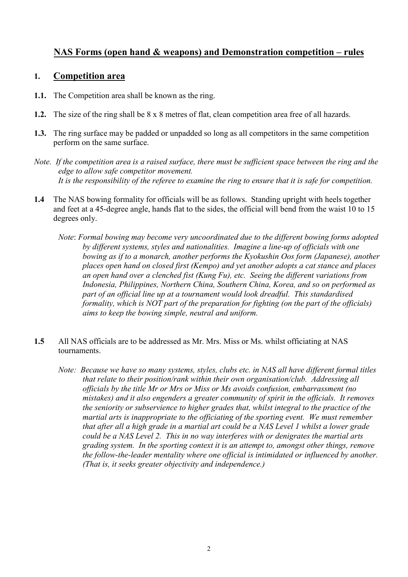### NAS Forms (open hand & weapons) and Demonstration competition – rules

#### 1. Competition area

- 1.1. The Competition area shall be known as the ring.
- 1.2. The size of the ring shall be 8 x 8 metres of flat, clean competition area free of all hazards.
- 1.3. The ring surface may be padded or unpadded so long as all competitors in the same competition perform on the same surface.
- Note. If the competition area is a raised surface, there must be sufficient space between the ring and the edge to allow safe competitor movement. It is the responsibility of the referee to examine the ring to ensure that it is safe for competition.
- 1.4 The NAS bowing formality for officials will be as follows. Standing upright with heels together and feet at a 45-degree angle, hands flat to the sides, the official will bend from the waist 10 to 15 degrees only.
	- Note: Formal bowing may become very uncoordinated due to the different bowing forms adopted by different systems, styles and nationalities. Imagine a line-up of officials with one bowing as if to a monarch, another performs the Kyokushin Oos form (Japanese), another places open hand on closed first (Kempo) and yet another adopts a cat stance and places an open hand over a clenched fist (Kung Fu), etc. Seeing the different variations from Indonesia, Philippines, Northern China, Southern China, Korea, and so on performed as part of an official line up at a tournament would look dreadful. This standardised formality, which is NOT part of the preparation for fighting (on the part of the officials) aims to keep the bowing simple, neutral and uniform.
- 1.5 All NAS officials are to be addressed as Mr. Mrs. Miss or Ms. whilst officiating at NAS tournaments.
	- Note: Because we have so many systems, styles, clubs etc. in NAS all have different formal titles that relate to their position/rank within their own organisation/club. Addressing all officials by the title Mr or Mrs or Miss or Ms avoids confusion, embarrassment (no mistakes) and it also engenders a greater community of spirit in the officials. It removes the seniority or subservience to higher grades that, whilst integral to the practice of the martial arts is inappropriate to the officiating of the sporting event. We must remember that after all a high grade in a martial art could be a NAS Level 1 whilst a lower grade could be a NAS Level 2. This in no way interferes with or denigrates the martial arts grading system. In the sporting context it is an attempt to, amongst other things, remove the follow-the-leader mentality where one official is intimidated or influenced by another. (That is, it seeks greater objectivity and independence.)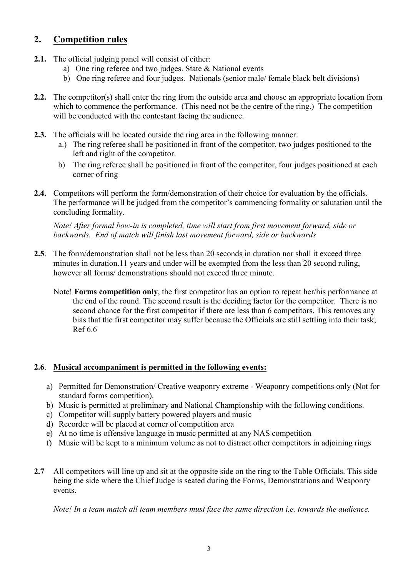### 2. Competition rules

- 2.1. The official judging panel will consist of either:
	- a) One ring referee and two judges. State & National events
	- b) One ring referee and four judges. Nationals (senior male/ female black belt divisions)
- 2.2. The competitor(s) shall enter the ring from the outside area and choose an appropriate location from which to commence the performance. (This need not be the centre of the ring.) The competition will be conducted with the contestant facing the audience.
- 2.3. The officials will be located outside the ring area in the following manner:
	- a.) The ring referee shall be positioned in front of the competitor, two judges positioned to the left and right of the competitor.
	- b) The ring referee shall be positioned in front of the competitor, four judges positioned at each corner of ring
- 2.4. Competitors will perform the form/demonstration of their choice for evaluation by the officials. The performance will be judged from the competitor's commencing formality or salutation until the concluding formality.

Note! After formal bow-in is completed, time will start from first movement forward, side or backwards. End of match will finish last movement forward, side or backwards

- 2.5. The form/demonstration shall not be less than 20 seconds in duration nor shall it exceed three minutes in duration.11 years and under will be exempted from the less than 20 second ruling, however all forms/ demonstrations should not exceed three minute.
	- Note! Forms competition only, the first competitor has an option to repeat her/his performance at the end of the round. The second result is the deciding factor for the competitor. There is no second chance for the first competitor if there are less than 6 competitors. This removes any bias that the first competitor may suffer because the Officials are still settling into their task; Ref 6.6

### 2.6. Musical accompaniment is permitted in the following events:

- a) Permitted for Demonstration/ Creative weaponry extreme Weaponry competitions only (Not for standard forms competition).
- b) Music is permitted at preliminary and National Championship with the following conditions.
- c) Competitor will supply battery powered players and music
- d) Recorder will be placed at corner of competition area
- e) At no time is offensive language in music permitted at any NAS competition
- f) Music will be kept to a minimum volume as not to distract other competitors in adjoining rings
- 2.7 All competitors will line up and sit at the opposite side on the ring to the Table Officials. This side being the side where the Chief Judge is seated during the Forms, Demonstrations and Weaponry events.

Note! In a team match all team members must face the same direction i.e. towards the audience.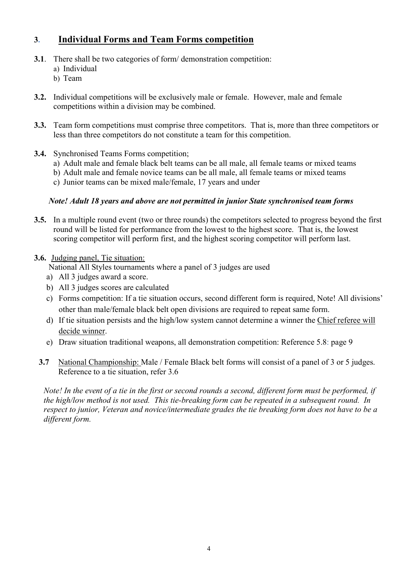### 3. Individual Forms and Team Forms competition

- 3.1. There shall be two categories of form/ demonstration competition:
	- a) Individual
	- b) Team
- 3.2. Individual competitions will be exclusively male or female. However, male and female competitions within a division may be combined.
- 3.3. Team form competitions must comprise three competitors. That is, more than three competitors or less than three competitors do not constitute a team for this competition.
- 3.4. Synchronised Teams Forms competition;
	- a) Adult male and female black belt teams can be all male, all female teams or mixed teams
	- b) Adult male and female novice teams can be all male, all female teams or mixed teams
	- c) Junior teams can be mixed male/female, 17 years and under

#### Note! Adult 18 years and above are not permitted in junior State synchronised team forms

- 3.5. In a multiple round event (two or three rounds) the competitors selected to progress beyond the first round will be listed for performance from the lowest to the highest score. That is, the lowest scoring competitor will perform first, and the highest scoring competitor will perform last.
- 3.6. Judging panel, Tie situation:

National All Styles tournaments where a panel of 3 judges are used

- a) All 3 judges award a score.
- b) All 3 judges scores are calculated
- c) Forms competition: If a tie situation occurs, second different form is required, Note! All divisions' other than male/female black belt open divisions are required to repeat same form.
- d) If tie situation persists and the high/low system cannot determine a winner the Chief referee will decide winner.
- e) Draw situation traditional weapons, all demonstration competition: Reference 5.8: page 9
- 3.7 National Championship: Male / Female Black belt forms will consist of a panel of 3 or 5 judges. Reference to a tie situation, refer 3.6

Note! In the event of a tie in the first or second rounds a second, different form must be performed, if the high/low method is not used. This tie-breaking form can be repeated in a subsequent round. In respect to junior, Veteran and novice/intermediate grades the tie breaking form does not have to be a different form.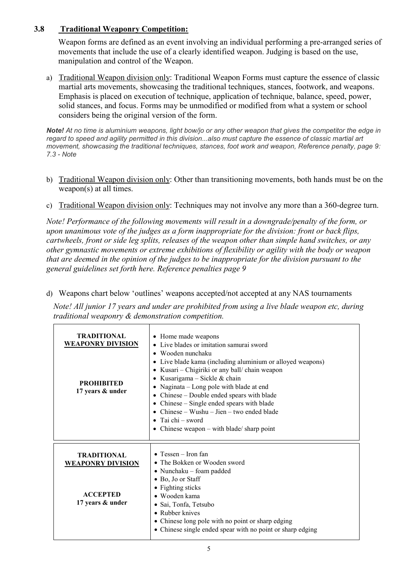#### 3.8 Traditional Weaponry Competition:

 Weapon forms are defined as an event involving an individual performing a pre-arranged series of movements that include the use of a clearly identified weapon. Judging is based on the use, manipulation and control of the Weapon.

a) Traditional Weapon division only: Traditional Weapon Forms must capture the essence of classic martial arts movements, showcasing the traditional techniques, stances, footwork, and weapons. Emphasis is placed on execution of technique, application of technique, balance, speed, power, solid stances, and focus. Forms may be unmodified or modified from what a system or school considers being the original version of the form.

Note! At no time is aluminium weapons, light bow/jo or any other weapon that gives the competitor the edge in regard to speed and agility permitted in this division...also must capture the essence of classic martial art movement, showcasing the traditional techniques, stances, foot work and weapon, Reference penalty, page 9: 7.3 - Note

- b) Traditional Weapon division only: Other than transitioning movements, both hands must be on the weapon(s) at all times.
- c) Traditional Weapon division only: Techniques may not involve any more than a 360-degree turn.

Note! Performance of the following movements will result in a downgrade/penalty of the form, or upon unanimous vote of the judges as a form inappropriate for the division: front or back flips, cartwheels, front or side leg splits, releases of the weapon other than simple hand switches, or any other gymnastic movements or extreme exhibitions of flexibility or agility with the body or weapon that are deemed in the opinion of the judges to be inappropriate for the division pursuant to the general guidelines set forth here. Reference penalties page 9

d) Weapons chart below 'outlines' weapons accepted/not accepted at any NAS tournaments

Note! All junior 17 years and under are prohibited from using a live blade weapon etc, during traditional weaponry & demonstration competition.

| TRADITIONAL<br><b>WEAPONRY DIVISION</b><br><b>PROHIBITED</b><br>17 years & under | • Home made weapons<br>Live blades or imitation samurai sword<br>Wooden nunchaku<br>Live blade kama (including aluminium or alloyed weapons)<br>Kusari – Chigiriki or any ball/ chain weapon<br>Kusarigama – Sickle & chain<br>Naginata – Long pole with blade at end<br>• Chinese – Double ended spears with blade<br>• Chinese $-$ Single ended spears with blade<br>Chinese – Wushu – Jien – two ended blade<br>Tai chi – sword<br>Chinese weapon $-$ with blade/ sharp point |
|----------------------------------------------------------------------------------|----------------------------------------------------------------------------------------------------------------------------------------------------------------------------------------------------------------------------------------------------------------------------------------------------------------------------------------------------------------------------------------------------------------------------------------------------------------------------------|
| TRADITIONAL<br><b>WEAPONRY DIVISION</b><br><b>ACCEPTED</b><br>17 years & under   | $\bullet$ Tessen – Iron fan<br>• The Bokken or Wooden sword<br>• Nunchaku – foam padded<br>• Bo, Jo or Staff<br>• Fighting sticks<br>• Wooden kama<br>· Sai, Tonfa, Tetsubo<br>• Rubber knives<br>• Chinese long pole with no point or sharp edging<br>• Chinese single ended spear with no point or sharp edging                                                                                                                                                                |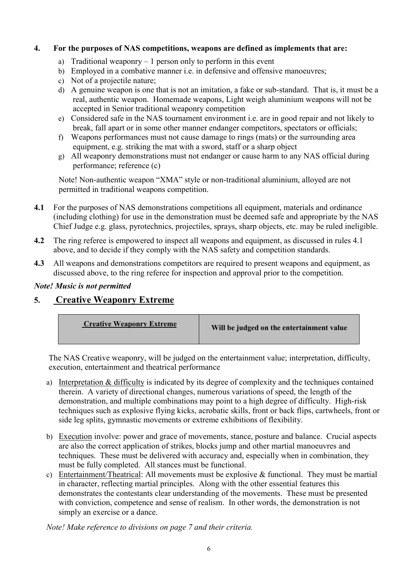#### 4. For the purposes of NAS competitions, weapons are defined as implements that are:

- a) Traditional weaponry  $-1$  person only to perform in this event
- b) Employed in a combative manner i.e. in defensive and offensive manoeuvres;
- c) Not of a projectile nature;
- d) A genuine weapon is one that is not an imitation, a fake or sub-standard. That is, it must be a real, authentic weapon. Homemade weapons, Light weigh aluminium weapons will not be accepted in Senior traditional weaponry competition
- e) Considered safe in the NAS tournament environment i.e. are in good repair and not likely to break, fall apart or in some other manner endanger competitors, spectators or officials;
- f) Weapons performances must not cause damage to rings (mats) or the surrounding area equipment, e.g. striking the mat with a sword, staff or a sharp object
- g) All weaponry demonstrations must not endanger or cause harm to any NAS official during performance; reference (c)

Note! Non-authentic weapon "XMA" style or non-traditional aluminium, alloyed are not permitted in traditional weapons competition.

- 4.1 For the purposes of NAS demonstrations competitions all equipment, materials and ordinance (including clothing) for use in the demonstration must be deemed safe and appropriate by the NAS Chief Judge e.g. glass, pyrotechnics, projectiles, sprays, sharp objects, etc. may be ruled ineligible.
- 4.2 The ring referee is empowered to inspect all weapons and equipment, as discussed in rules 4.1 above, and to decide if they comply with the NAS safety and competition standards.
- 4.3 All weapons and demonstrations competitors are required to present weapons and equipment, as discussed above, to the ring referee for inspection and approval prior to the competition.

#### Note! Music is not permitted

### 5. Creative Weaponry Extreme



The NAS Creative weaponry, will be judged on the entertainment value; interpretation, difficulty, execution, entertainment and theatrical performance

- a) Interpretation & difficulty is indicated by its degree of complexity and the techniques contained therein. A variety of directional changes, numerous variations of speed, the length of the demonstration, and multiple combinations may point to a high degree of difficulty. High-risk techniques such as explosive flying kicks, acrobatic skills, front or back flips, cartwheels, front or side leg splits, gymnastic movements or extreme exhibitions of flexibility.
- b) Execution involve: power and grace of movements, stance, posture and balance. Crucial aspects are also the correct application of strikes, blocks jump and other martial manoeuvres and techniques. These must be delivered with accuracy and, especially when in combination, they must be fully completed. All stances must be functional.
- c) Entertainment/Theatrical: All movements must be explosive & functional. They must be martial in character, reflecting martial principles. Along with the other essential features this demonstrates the contestants clear understanding of the movements. These must be presented with conviction, competence and sense of realism. In other words, the demonstration is not simply an exercise or a dance.

Note! Make reference to divisions on page 7 and their criteria.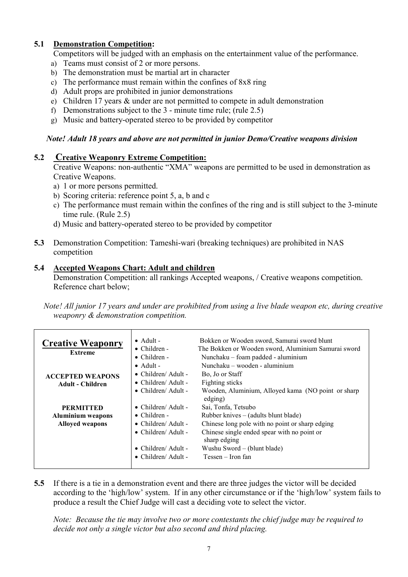#### 5.1 Demonstration Competition:

Competitors will be judged with an emphasis on the entertainment value of the performance.

- a) Teams must consist of 2 or more persons.
- b) The demonstration must be martial art in character
- c) The performance must remain within the confines of 8x8 ring
- d) Adult props are prohibited in junior demonstrations
- e) Children 17 years & under are not permitted to compete in adult demonstration
- f) Demonstrations subject to the 3 minute time rule; (rule 2.5)
- g) Music and battery-operated stereo to be provided by competitor

#### Note! Adult 18 years and above are not permitted in junior Demo/Creative weapons division

#### 5.2 Creative Weaponry Extreme Competition:

Creative Weapons: non-authentic "XMA" weapons are permitted to be used in demonstration as Creative Weapons.

- a) 1 or more persons permitted.
- b) Scoring criteria: reference point 5, a, b and c
- c) The performance must remain within the confines of the ring and is still subject to the 3-minute time rule. (Rule 2.5)
- d) Music and battery-operated stereo to be provided by competitor
- 5.3 Demonstration Competition: Tameshi-wari (breaking techniques) are prohibited in NAS competition

#### 5.4 Accepted Weapons Chart: Adult and children

Demonstration Competition: all rankings Accepted weapons, / Creative weapons competition. Reference chart below;

 Note! All junior 17 years and under are prohibited from using a live blade weapon etc, during creative weaponry & demonstration competition.

| <b>Creative Weaponry</b><br><b>Extreme</b>                             | $\bullet$ Adult -<br>$\bullet$ Children -<br>$\bullet$ Children -                                                                                                                                | Bokken or Wooden sword, Samurai sword blunt<br>The Bokken or Wooden sword, Aluminium Samurai sword<br>Nunchaku – foam padded - aluminium                                                                                                                                                           |
|------------------------------------------------------------------------|--------------------------------------------------------------------------------------------------------------------------------------------------------------------------------------------------|----------------------------------------------------------------------------------------------------------------------------------------------------------------------------------------------------------------------------------------------------------------------------------------------------|
| <b>ACCEPTED WEAPONS</b><br><b>Adult - Children</b>                     | $\bullet$ Adult -<br>$\bullet$ Children/Adult -<br>$\bullet$ Children/Adult -                                                                                                                    | Nunchaku $-$ wooden - aluminium<br>Bo, Jo or Staff<br>Fighting sticks                                                                                                                                                                                                                              |
| <b>PERMITTED</b><br><b>Aluminium weapons</b><br><b>Alloyed weapons</b> | $\bullet$ Children/Adult -<br>$\bullet$ Children/Adult -<br>$\bullet$ Children -<br>$\bullet$ Children/Adult -<br>• Children/Adult -<br>$\bullet$ Children/Adult -<br>$\bullet$ Children/Adult - | Wooden, Aluminium, Alloyed kama (NO point or sharp<br>edging)<br>Sai, Tonfa, Tetsubo<br>Rubber knives – (adults blunt blade)<br>Chinese long pole with no point or sharp edging<br>Chinese single ended spear with no point or<br>sharp edging<br>Wushu Sword – (blunt blade)<br>Tessen – Iron fan |

5.5 If there is a tie in a demonstration event and there are three judges the victor will be decided according to the 'high/low' system. If in any other circumstance or if the 'high/low' system fails to produce a result the Chief Judge will cast a deciding vote to select the victor.

Note: Because the tie may involve two or more contestants the chief judge may be required to decide not only a single victor but also second and third placing.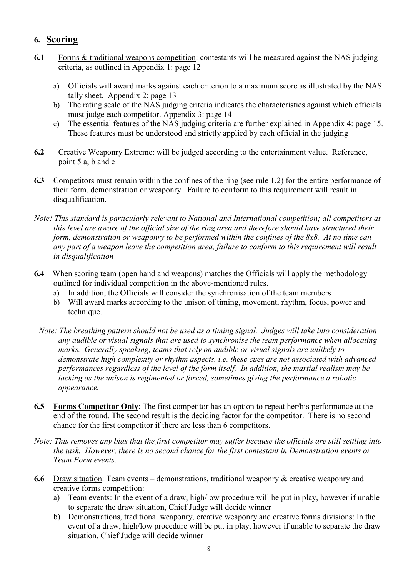### 6. Scoring

- 6.1 Forms & traditional weapons competition: contestants will be measured against the NAS judging criteria, as outlined in Appendix 1: page 12
	- a) Officials will award marks against each criterion to a maximum score as illustrated by the NAS tally sheet. Appendix 2: page 13
	- b) The rating scale of the NAS judging criteria indicates the characteristics against which officials must judge each competitor. Appendix 3: page 14
	- c) The essential features of the NAS judging criteria are further explained in Appendix 4: page 15. These features must be understood and strictly applied by each official in the judging
- 6.2 Creative Weaponry Extreme: will be judged according to the entertainment value. Reference, point 5 a, b and c
- 6.3 Competitors must remain within the confines of the ring (see rule 1.2) for the entire performance of their form, demonstration or weaponry. Failure to conform to this requirement will result in disqualification.
- Note! This standard is particularly relevant to National and International competition; all competitors at this level are aware of the official size of the ring area and therefore should have structured their form, demonstration or weaponry to be performed within the confines of the 8x8. At no time can any part of a weapon leave the competition area, failure to conform to this requirement will result in disqualification
- 6.4 When scoring team (open hand and weapons) matches the Officials will apply the methodology outlined for individual competition in the above-mentioned rules.
	- a) In addition, the Officials will consider the synchronisation of the team members
	- b) Will award marks according to the unison of timing, movement, rhythm, focus, power and technique.
	- Note: The breathing pattern should not be used as a timing signal. Judges will take into consideration any audible or visual signals that are used to synchronise the team performance when allocating marks. Generally speaking, teams that rely on audible or visual signals are unlikely to demonstrate high complexity or rhythm aspects. i.e. these cues are not associated with advanced performances regardless of the level of the form itself. In addition, the martial realism may be lacking as the unison is regimented or forced, sometimes giving the performance a robotic appearance.
- 6.5 Forms Competitor Only: The first competitor has an option to repeat her/his performance at the end of the round. The second result is the deciding factor for the competitor. There is no second chance for the first competitor if there are less than 6 competitors.
- Note: This removes any bias that the first competitor may suffer because the officials are still settling into the task. However, there is no second chance for the first contestant in Demonstration events or Team Form events.
- 6.6 Draw situation: Team events demonstrations, traditional weaponry & creative weaponry and creative forms competition:
	- a) Team events: In the event of a draw, high/low procedure will be put in play, however if unable to separate the draw situation, Chief Judge will decide winner
	- b) Demonstrations, traditional weaponry, creative weaponry and creative forms divisions: In the event of a draw, high/low procedure will be put in play, however if unable to separate the draw situation, Chief Judge will decide winner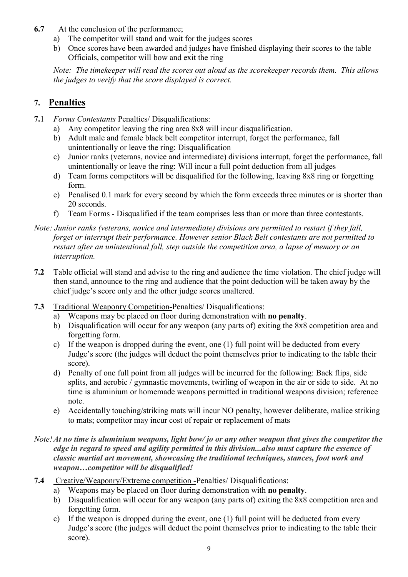- 6.7 At the conclusion of the performance;
	- a) The competitor will stand and wait for the judges scores
	- b) Once scores have been awarded and judges have finished displaying their scores to the table Officials, competitor will bow and exit the ring

Note: The timekeeper will read the scores out aloud as the scorekeeper records them. This allows the judges to verify that the score displayed is correct.

### 7. Penalties

- 7.1 Forms Contestants Penalties/ Disqualifications:
	- a) Any competitor leaving the ring area 8x8 will incur disqualification.
	- b) Adult male and female black belt competitor interrupt, forget the performance, fall unintentionally or leave the ring: Disqualification
	- c) Junior ranks (veterans, novice and intermediate) divisions interrupt, forget the performance, fall unintentionally or leave the ring: Will incur a full point deduction from all judges
	- d) Team forms competitors will be disqualified for the following, leaving 8x8 ring or forgetting form.
	- e) Penalised 0.1 mark for every second by which the form exceeds three minutes or is shorter than 20 seconds.
	- f) Team Forms Disqualified if the team comprises less than or more than three contestants.
- Note: Junior ranks (veterans, novice and intermediate) divisions are permitted to restart if they fall, forget or interrupt their performance. However senior Black Belt contestants are not permitted to restart after an unintentional fall, step outside the competition area, a lapse of memory or an interruption.
- 7.2 Table official will stand and advise to the ring and audience the time violation. The chief judge will then stand, announce to the ring and audience that the point deduction will be taken away by the chief judge's score only and the other judge scores unaltered.
- 7.3 Traditional Weaponry Competition-Penalties/ Disqualifications:
	- a) Weapons may be placed on floor during demonstration with no penalty.
	- b) Disqualification will occur for any weapon (any parts of) exiting the 8x8 competition area and forgetting form.
	- c) If the weapon is dropped during the event, one (1) full point will be deducted from every Judge's score (the judges will deduct the point themselves prior to indicating to the table their score).
	- d) Penalty of one full point from all judges will be incurred for the following: Back flips, side splits, and aerobic / gymnastic movements, twirling of weapon in the air or side to side. At no time is aluminium or homemade weapons permitted in traditional weapons division; reference note.
	- e) Accidentally touching/striking mats will incur NO penalty, however deliberate, malice striking to mats; competitor may incur cost of repair or replacement of mats

#### Note! At no time is aluminium weapons, light bow/ jo or any other weapon that gives the competitor the edge in regard to speed and agility permitted in this division...also must capture the essence of classic martial art movement, showcasing the traditional techniques, stances, foot work and weapon…competitor will be disqualified!

- 7.4 Creative/Weaponry/Extreme competition -Penalties/ Disqualifications:
	- a) Weapons may be placed on floor during demonstration with no penalty.
	- b) Disqualification will occur for any weapon (any parts of) exiting the 8x8 competition area and forgetting form.
	- c) If the weapon is dropped during the event, one (1) full point will be deducted from every Judge's score (the judges will deduct the point themselves prior to indicating to the table their score).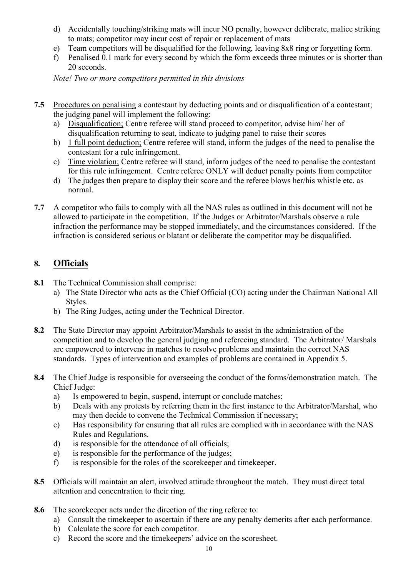- d) Accidentally touching/striking mats will incur NO penalty, however deliberate, malice striking to mats; competitor may incur cost of repair or replacement of mats
- e) Team competitors will be disqualified for the following, leaving 8x8 ring or forgetting form.
- f) Penalised 0.1 mark for every second by which the form exceeds three minutes or is shorter than 20 seconds.

Note! Two or more competitors permitted in this divisions

- 7.5 Procedures on penalising a contestant by deducting points and or disqualification of a contestant; the judging panel will implement the following:
	- a) Disqualification; Centre referee will stand proceed to competitor, advise him/ her of disqualification returning to seat, indicate to judging panel to raise their scores
	- b) 1 full point deduction; Centre referee will stand, inform the judges of the need to penalise the contestant for a rule infringement.
	- c) Time violation; Centre referee will stand, inform judges of the need to penalise the contestant for this rule infringement. Centre referee ONLY will deduct penalty points from competitor
	- d) The judges then prepare to display their score and the referee blows her/his whistle etc. as normal.
- 7.7 A competitor who fails to comply with all the NAS rules as outlined in this document will not be allowed to participate in the competition. If the Judges or Arbitrator/Marshals observe a rule infraction the performance may be stopped immediately, and the circumstances considered. If the infraction is considered serious or blatant or deliberate the competitor may be disqualified.

### 8. Officials

- 8.1 The Technical Commission shall comprise:
	- a) The State Director who acts as the Chief Official (CO) acting under the Chairman National All Styles.
	- b) The Ring Judges, acting under the Technical Director.
- 8.2 The State Director may appoint Arbitrator/Marshals to assist in the administration of the competition and to develop the general judging and refereeing standard. The Arbitrator/ Marshals are empowered to intervene in matches to resolve problems and maintain the correct NAS standards. Types of intervention and examples of problems are contained in Appendix 5.
- 8.4 The Chief Judge is responsible for overseeing the conduct of the forms/demonstration match. The Chief Judge:
	- a) Is empowered to begin, suspend, interrupt or conclude matches;
	- b) Deals with any protests by referring them in the first instance to the Arbitrator/Marshal, who may then decide to convene the Technical Commission if necessary;
	- c) Has responsibility for ensuring that all rules are complied with in accordance with the NAS Rules and Regulations.
	- d) is responsible for the attendance of all officials;
	- e) is responsible for the performance of the judges;
	- f) is responsible for the roles of the scorekeeper and timekeeper.
- 8.5 Officials will maintain an alert, involved attitude throughout the match. They must direct total attention and concentration to their ring.
- 8.6 The scorekeeper acts under the direction of the ring referee to:
	- a) Consult the timekeeper to ascertain if there are any penalty demerits after each performance.
	- b) Calculate the score for each competitor.
	- c) Record the score and the timekeepers' advice on the scoresheet.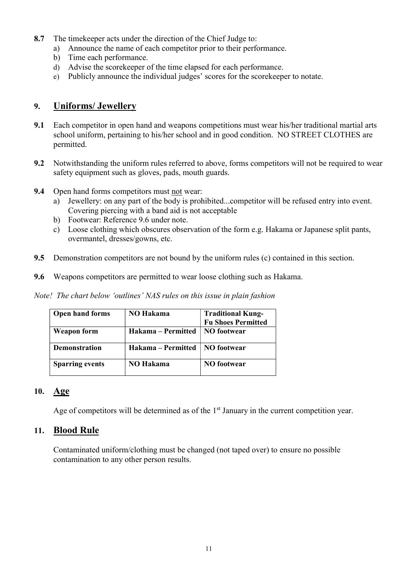- 8.7 The timekeeper acts under the direction of the Chief Judge to:
	- a) Announce the name of each competitor prior to their performance.
	- b) Time each performance.
	- d) Advise the scorekeeper of the time elapsed for each performance.
	- e) Publicly announce the individual judges' scores for the scorekeeper to notate.

### 9. Uniforms/ Jewellery

- 9.1 Each competitor in open hand and weapons competitions must wear his/her traditional martial arts school uniform, pertaining to his/her school and in good condition. NO STREET CLOTHES are permitted.
- 9.2 Notwithstanding the uniform rules referred to above, forms competitors will not be required to wear safety equipment such as gloves, pads, mouth guards.
- 9.4 Open hand forms competitors must not wear:
	- a) Jewellery: on any part of the body is prohibited...competitor will be refused entry into event. Covering piercing with a band aid is not acceptable
	- b) Footwear: Reference 9.6 under note.
	- c) Loose clothing which obscures observation of the form e.g. Hakama or Japanese split pants, overmantel, dresses/gowns, etc.
- 9.5 Demonstration competitors are not bound by the uniform rules (c) contained in this section.
- 9.6 Weapons competitors are permitted to wear loose clothing such as Hakama.

Note! The chart below 'outlines' NAS rules on this issue in plain fashion

| <b>Open hand forms</b> | <b>NO</b> Hakama   | <b>Traditional Kung-</b><br><b>Fu Shoes Permitted</b> |
|------------------------|--------------------|-------------------------------------------------------|
| <b>Weapon form</b>     | Hakama – Permitted | NO footwear                                           |
| <b>Demonstration</b>   | Hakama – Permitted | <b>NO</b> footwear                                    |
| <b>Sparring events</b> | NO Hakama          | <b>NO</b> footwear                                    |

#### 10. Age

Age of competitors will be determined as of the 1<sup>st</sup> January in the current competition year.

### 11. Blood Rule

 Contaminated uniform/clothing must be changed (not taped over) to ensure no possible contamination to any other person results.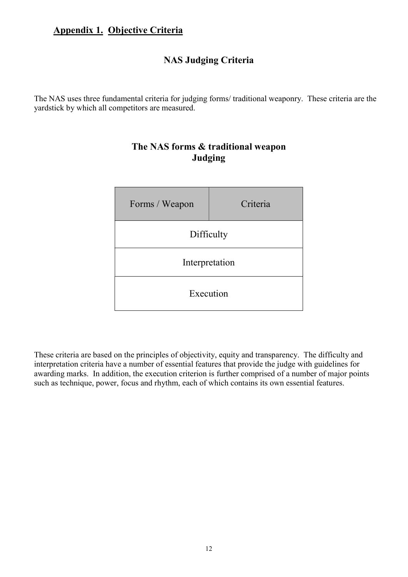## Appendix 1. Objective Criteria

### NAS Judging Criteria

The NAS uses three fundamental criteria for judging forms/ traditional weaponry. These criteria are the yardstick by which all competitors are measured.



### The NAS forms & traditional weapon Judging

These criteria are based on the principles of objectivity, equity and transparency. The difficulty and interpretation criteria have a number of essential features that provide the judge with guidelines for awarding marks. In addition, the execution criterion is further comprised of a number of major points such as technique, power, focus and rhythm, each of which contains its own essential features.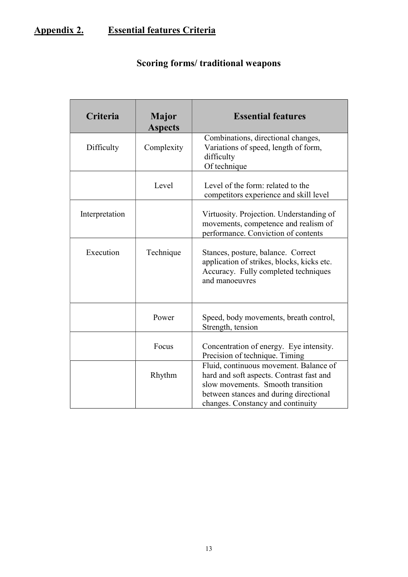# Appendix 2. Essential features Criteria

|  | Scoring forms/ traditional weapons |  |
|--|------------------------------------|--|
|  |                                    |  |

| Criteria       | <b>Major</b><br><b>Aspects</b> | <b>Essential features</b>                                                                                                                                                                              |
|----------------|--------------------------------|--------------------------------------------------------------------------------------------------------------------------------------------------------------------------------------------------------|
| Difficulty     | Complexity                     | Combinations, directional changes,<br>Variations of speed, length of form,<br>difficulty<br>Of technique                                                                                               |
|                | Level                          | Level of the form: related to the<br>competitors experience and skill level                                                                                                                            |
| Interpretation |                                | Virtuosity. Projection. Understanding of<br>movements, competence and realism of<br>performance. Conviction of contents                                                                                |
| Execution      | Technique                      | Stances, posture, balance. Correct<br>application of strikes, blocks, kicks etc.<br>Accuracy. Fully completed techniques<br>and manoeuvres                                                             |
|                | Power                          | Speed, body movements, breath control,<br>Strength, tension                                                                                                                                            |
|                | Focus                          | Concentration of energy. Eye intensity.<br>Precision of technique. Timing                                                                                                                              |
|                | Rhythm                         | Fluid, continuous movement. Balance of<br>hard and soft aspects. Contrast fast and<br>slow movements. Smooth transition<br>between stances and during directional<br>changes. Constancy and continuity |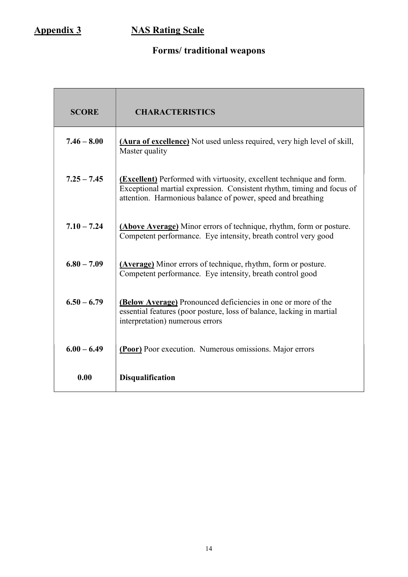# Appendix 3 NAS Rating Scale

# Forms/ traditional weapons

| <b>SCORE</b>  | <b>CHARACTERISTICS</b>                                                                                                                                                                                               |
|---------------|----------------------------------------------------------------------------------------------------------------------------------------------------------------------------------------------------------------------|
| $7.46 - 8.00$ | (Aura of excellence) Not used unless required, very high level of skill,<br>Master quality                                                                                                                           |
| $7.25 - 7.45$ | <b>(Excellent)</b> Performed with virtuosity, excellent technique and form.<br>Exceptional martial expression. Consistent rhythm, timing and focus of<br>attention. Harmonious balance of power, speed and breathing |
| $7.10 - 7.24$ | (Above Average) Minor errors of technique, rhythm, form or posture.<br>Competent performance. Eye intensity, breath control very good                                                                                |
| $6.80 - 7.09$ | <b>(Average)</b> Minor errors of technique, rhythm, form or posture.<br>Competent performance. Eye intensity, breath control good                                                                                    |
| $6.50 - 6.79$ | (Below Average) Pronounced deficiencies in one or more of the<br>essential features (poor posture, loss of balance, lacking in martial<br>interpretation) numerous errors                                            |
| $6.00 - 6.49$ | (Poor) Poor execution. Numerous omissions. Major errors                                                                                                                                                              |
| 0.00          | <b>Disqualification</b>                                                                                                                                                                                              |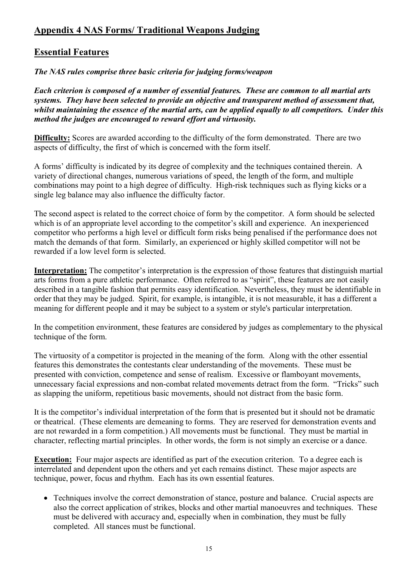### Appendix 4 NAS Forms/ Traditional Weapons Judging

### Essential Features

The NAS rules comprise three basic criteria for judging forms/weapon

Each criterion is composed of a number of essential features. These are common to all martial arts systems. They have been selected to provide an objective and transparent method of assessment that, whilst maintaining the essence of the martial arts, can be applied equally to all competitors. Under this method the judges are encouraged to reward effort and virtuosity.

Difficulty: Scores are awarded according to the difficulty of the form demonstrated. There are two aspects of difficulty, the first of which is concerned with the form itself.

A forms' difficulty is indicated by its degree of complexity and the techniques contained therein. A variety of directional changes, numerous variations of speed, the length of the form, and multiple combinations may point to a high degree of difficulty. High-risk techniques such as flying kicks or a single leg balance may also influence the difficulty factor.

The second aspect is related to the correct choice of form by the competitor. A form should be selected which is of an appropriate level according to the competitor's skill and experience. An inexperienced competitor who performs a high level or difficult form risks being penalised if the performance does not match the demands of that form. Similarly, an experienced or highly skilled competitor will not be rewarded if a low level form is selected.

Interpretation: The competitor's interpretation is the expression of those features that distinguish martial arts forms from a pure athletic performance. Often referred to as "spirit", these features are not easily described in a tangible fashion that permits easy identification. Nevertheless, they must be identifiable in order that they may be judged. Spirit, for example, is intangible, it is not measurable, it has a different a meaning for different people and it may be subject to a system or style's particular interpretation.

In the competition environment, these features are considered by judges as complementary to the physical technique of the form.

The virtuosity of a competitor is projected in the meaning of the form. Along with the other essential features this demonstrates the contestants clear understanding of the movements. These must be presented with conviction, competence and sense of realism. Excessive or flamboyant movements, unnecessary facial expressions and non-combat related movements detract from the form. "Tricks" such as slapping the uniform, repetitious basic movements, should not distract from the basic form.

It is the competitor's individual interpretation of the form that is presented but it should not be dramatic or theatrical. (These elements are demeaning to forms. They are reserved for demonstration events and are not rewarded in a form competition.) All movements must be functional. They must be martial in character, reflecting martial principles. In other words, the form is not simply an exercise or a dance.

**Execution:** Four major aspects are identified as part of the execution criterion. To a degree each is interrelated and dependent upon the others and yet each remains distinct. These major aspects are technique, power, focus and rhythm. Each has its own essential features.

 Techniques involve the correct demonstration of stance, posture and balance. Crucial aspects are also the correct application of strikes, blocks and other martial manoeuvres and techniques. These must be delivered with accuracy and, especially when in combination, they must be fully completed. All stances must be functional.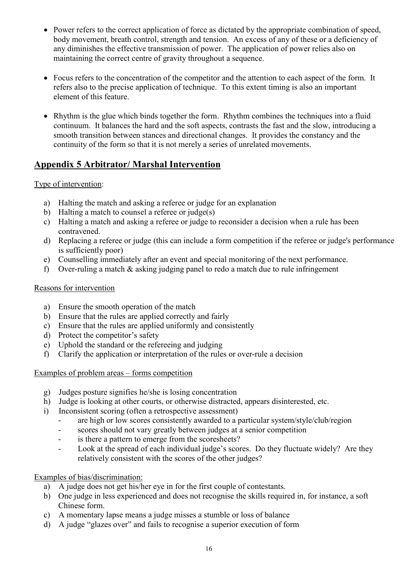- Power refers to the correct application of force as dictated by the appropriate combination of speed, body movement, breath control, strength and tension. An excess of any of these or a deficiency of any diminishes the effective transmission of power. The application of power relies also on maintaining the correct centre of gravity throughout a sequence.
- Focus refers to the concentration of the competitor and the attention to each aspect of the form. It refers also to the precise application of technique. To this extent timing is also an important element of this feature.
- Rhythm is the glue which binds together the form. Rhythm combines the techniques into a fluid continuum. It balances the hard and the soft aspects, contrasts the fast and the slow, introducing a smooth transition between stances and directional changes. It provides the constancy and the continuity of the form so that it is not merely a series of unrelated movements.

### Appendix 5 Arbitrator/ Marshal Intervention

### Type of intervention:

- a) Halting the match and asking a referee or judge for an explanation
- b) Halting a match to counsel a referee or judge(s)
- c) Halting a match and asking a referee or judge to reconsider a decision when a rule has been contravened.
- d) Replacing a referee or judge (this can include a form competition if the referee or judge's performance is sufficiently poor)
- e) Counselling immediately after an event and special monitoring of the next performance.
- f) Over-ruling a match & asking judging panel to redo a match due to rule infringement

#### Reasons for intervention

- a) Ensure the smooth operation of the match
- b) Ensure that the rules are applied correctly and fairly
- c) Ensure that the rules are applied uniformly and consistently
- d) Protect the competitor's safety
- e) Uphold the standard or the refereeing and judging
- f) Clarify the application or interpretation of the rules or over-rule a decision

#### Examples of problem areas – forms competition

- g) Judges posture signifies he/she is losing concentration
- h) Judge is looking at other courts, or otherwise distracted, appears disinterested, etc.
- i) Inconsistent scoring (often a retrospective assessment)
	- are high or low scores consistently awarded to a particular system/style/club/region
	- scores should not vary greatly between judges at a senior competition
	- is there a pattern to emerge from the scoresheets?
	- Look at the spread of each individual judge's scores. Do they fluctuate widely? Are they relatively consistent with the scores of the other judges?

#### Examples of bias/discrimination:

- a) A judge does not get his/her eye in for the first couple of contestants.
- b) One judge in less experienced and does not recognise the skills required in, for instance, a soft Chinese form.
- c) A momentary lapse means a judge misses a stumble or loss of balance
- d) A judge "glazes over" and fails to recognise a superior execution of form